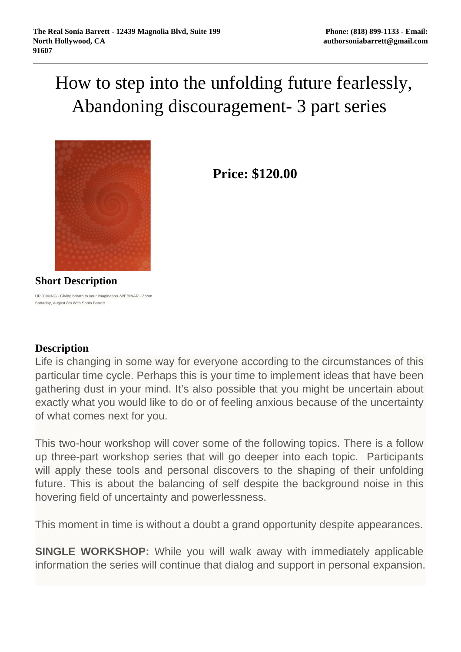## How to step into the unfolding future fearlessly, Abandoning discouragement- 3 part series



**Price: \$120.00** 

**Short Description**

UPCOMING - Giving breath to your imagination -WEBINAR - Zoom Saturday, August 8th With Sonia Barrett

## **Description**

Life is changing in some way for everyone according to the circumstances of this particular time cycle. Perhaps this is your time to implement ideas that have been gathering dust in your mind. It's also possible that you might be uncertain about exactly what you would like to do or of feeling anxious because of the uncertainty of what comes next for you.

This two-hour workshop will cover some of the following topics. There is a follow up three-part workshop series that will go deeper into each topic. Participants will apply these tools and personal discovers to the shaping of their unfolding future. This is about the balancing of self despite the background noise in this hovering field of uncertainty and powerlessness.

This moment in time is without a doubt a grand opportunity despite appearances.

**SINGLE WORKSHOP:** While you will walk away with immediately applicable information the series will continue that dialog and support in personal expansion.